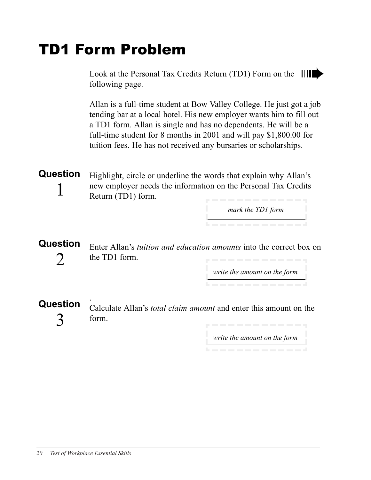## TD1 Form Problem

Look at the Personal Tax Credits Return (TD1) Form on the following page.

Allan is a full-time student at Bow Valley College. He just got a job tending bar at a local hotel. His new employer wants him to fill out a TD1 form. Allan is single and has no dependents. He will be a full-time student for 8 months in 2001 and will pay \$1,800.00 for tuition fees. He has not received any bursaries or scholarships.

Question 1 Highlight, circle or underline the words that explain why Allan's new employer needs the information on the Personal Tax Credits Return (TD1) form.

mark the TD1 form

**Question**  $\sum$ Enter Allan's tuition and education amounts into the correct box on the TD1 form.

write the amount on the form

Question 3 . Calculate Allan's total claim amount and enter this amount on the form.

write the amount on the form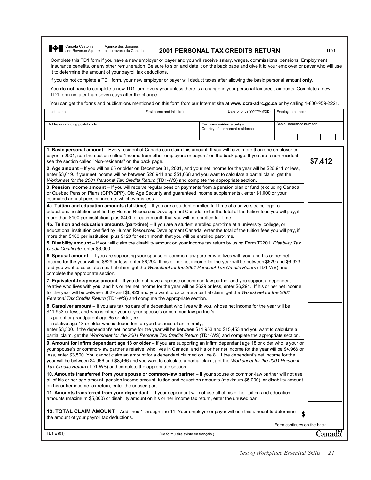Canada Customs Agence des douanes<br>and Revenue Agency et du revenu du Canada

#### **2001 PERSONAL TAX CREDITS RETURN TD1**

Complete this TD1 form if you have a new employer or payer and you will receive salary, wages, commissions, pensions, Employment Insurance benefits, or any other remuneration. Be sure to sign and date it on the back page and give it to your employer or payer who will use it to determine the amount of your payroll tax deductions.

If you do not complete a TD1 form, your new employer or payer will deduct taxes after allowing the basic personal amount **only**.

You do not have to complete a new TD1 form every year unless there is a change in your personal tax credit amounts. Complete a new TD1 form no later than seven days after the change.

You can get the forms and publications mentioned on this form from our Internet site at **www.ccra-adrc.gc.ca** or by calling 1‑800‑959‑2221.

| Last name                                                                                                                                                                                                                                                                                                                                                                                                                                                                                                                                                                                   | First name and initial(s)                                  | Date of birth (YYYY/MM/DD)<br>Employee number |                            |                         |     |  |        |
|---------------------------------------------------------------------------------------------------------------------------------------------------------------------------------------------------------------------------------------------------------------------------------------------------------------------------------------------------------------------------------------------------------------------------------------------------------------------------------------------------------------------------------------------------------------------------------------------|------------------------------------------------------------|-----------------------------------------------|----------------------------|-------------------------|-----|--|--------|
| Address including postal code                                                                                                                                                                                                                                                                                                                                                                                                                                                                                                                                                               | For non-residents only -<br>Country of permanent residence |                                               |                            | Social insurance number |     |  |        |
|                                                                                                                                                                                                                                                                                                                                                                                                                                                                                                                                                                                             |                                                            |                                               |                            |                         |     |  |        |
| 1. Basic personal amount - Every resident of Canada can claim this amount. If you will have more than one employer or<br>payer in 2001, see the section called "Income from other employers or payers" on the back page. If you are a non-resident,<br>\$7,412<br>see the section called "Non-residents" on the back page.                                                                                                                                                                                                                                                                  |                                                            |                                               |                            |                         |     |  |        |
| 2. Age amount – If you will be 65 or older on December 31, 2001, and your net income for the year will be \$26,941 or less,<br>enter \$3,619. If your net income will be between \$26,941 and \$51,068 and you want to calculate a partial claim, get the<br>Worksheet for the 2001 Personal Tax Credits Return (TD1-WS) and complete the appropriate section.<br>3. Pension income amount – If you will receive regular pension payments from a pension plan or fund (excluding Canada                                                                                                     |                                                            |                                               |                            |                         |     |  |        |
| or Quebec Pension Plans (CPP/QPP), Old Age Security and guaranteed income supplements), enter \$1,000 or your<br>estimated annual pension income, whichever is less.                                                                                                                                                                                                                                                                                                                                                                                                                        |                                                            |                                               |                            |                         |     |  |        |
| 4a. Tuition and education amounts (full-time) - If you are a student enrolled full-time at a university, college, or<br>educational institution certified by Human Resources Development Canada, enter the total of the tuition fees you will pay, if<br>more than \$100 per institution, plus \$400 for each month that you will be enrolled full-time.                                                                                                                                                                                                                                    |                                                            |                                               |                            |                         |     |  |        |
| 4b. Tuition and education amounts (part-time) – If you are a student enrolled part-time at a university, college, or<br>educational institution certified by Human Resources Development Canada, enter the total of the tuition fees you will pay, if<br>more than \$100 per institution, plus \$120 for each month that you will be enrolled part-time.                                                                                                                                                                                                                                    |                                                            |                                               |                            |                         |     |  |        |
| 5. Disability amount – If you will claim the disability amount on your income tax return by using Form T2201, Disability Tax<br>Credit Certificate, enter \$6,000.                                                                                                                                                                                                                                                                                                                                                                                                                          |                                                            |                                               |                            |                         |     |  |        |
| 6. Spousal amount – If you are supporting your spouse or common-law partner who lives with you, and his or her net<br>income for the year will be \$629 or less, enter \$6,294. If his or her net income for the year will be between \$629 and \$6,923<br>and you want to calculate a partial claim, get the Worksheet for the 2001 Personal Tax Credits Return (TD1-WS) and<br>complete the appropriate section.                                                                                                                                                                          |                                                            |                                               |                            |                         |     |  |        |
| 7. Equivalent-to-spouse amount – If you do not have a spouse or common-law partner and you support a dependent<br>relative who lives with you, and his or her net income for the year will be \$629 or less, enter \$6,294. If his or her net income<br>for the year will be between \$629 and \$6,923 and you want to calculate a partial claim, get the Worksheet for the 2001<br>Personal Tax Credits Return (TD1-WS) and complete the appropriate section.                                                                                                                              |                                                            |                                               |                            |                         |     |  |        |
| 8. Caregiver amount – If you are taking care of a dependant who lives with you, whose net income for the year will be<br>\$11,953 or less, and who is either your or your spouse's or common-law partner's:<br>. parent or grandparent age 65 or older, or                                                                                                                                                                                                                                                                                                                                  |                                                            |                                               |                            |                         |     |  |        |
| • relative age 18 or older who is dependent on you because of an infirmity,<br>enter \$3,500. If the dependant's net income for the year will be between \$11,953 and \$15,453 and you want to calculate a<br>partial claim, get the Worksheet for the 2001 Personal Tax Credits Return (TD1-WS) and complete the appropriate section.                                                                                                                                                                                                                                                      |                                                            |                                               |                            |                         |     |  |        |
| 9. Amount for infirm dependant age 18 or older – If you are supporting an infirm dependant age 18 or older who is your or<br>your spouse's or common-law partner's relative, who lives in Canada, and his or her net income for the year will be \$4,966 or<br>less, enter \$3,500. You cannot claim an amount for a dependant claimed on line 8. If the dependant's net income for the<br>year will be between \$4,966 and \$8,466 and you want to calculate a partial claim, get the Worksheet for the 2001 Personal<br>Tax Credits Return (TD1-WS) and complete the appropriate section. |                                                            |                                               |                            |                         |     |  |        |
| 10. Amounts transferred from your spouse or common-law partner - If your spouse or common-law partner will not use<br>all of his or her age amount, pension income amount, tuition and education amounts (maximum \$5,000), or disability amount<br>on his or her income tax return, enter the unused part.                                                                                                                                                                                                                                                                                 |                                                            |                                               |                            |                         |     |  |        |
| 11. Amounts transferred from your dependant - If your dependant will not use all of his or her tuition and education<br>amounts (maximum \$5,000) or disability amount on his or her income tax return, enter the unused part.                                                                                                                                                                                                                                                                                                                                                              |                                                            |                                               |                            |                         |     |  |        |
| 12. TOTAL CLAIM AMOUNT – Add lines 1 through line 11. Your employer or payer will use this amount to determine<br>the amount of your payroll tax deductions.                                                                                                                                                                                                                                                                                                                                                                                                                                |                                                            |                                               |                            |                         | l\$ |  |        |
|                                                                                                                                                                                                                                                                                                                                                                                                                                                                                                                                                                                             |                                                            |                                               | Form continues on the back |                         |     |  |        |
| TD1 E (01)                                                                                                                                                                                                                                                                                                                                                                                                                                                                                                                                                                                  | (Ce formulaire existe en français.)                        |                                               |                            |                         |     |  | Canadä |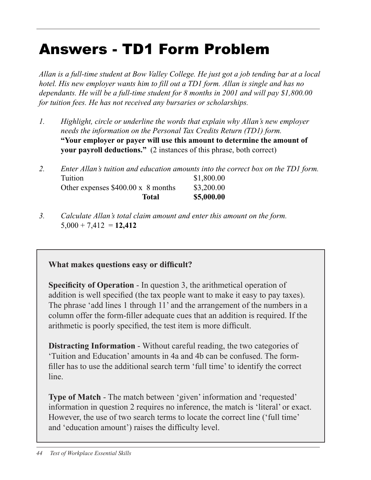# Answers - TD1 Form Problem

Allan is a full-time student at Bow Valley College. He just got a job tending bar at a local hotel. His new employer wants him to fill out a TD1 form. Allan is single and has no dependants. He will be a full-time student for 8 months in 2001 and will pay \$1,800.00 for tuition fees. He has not received any bursaries or scholarships.

- 1. Highlight, circle or underline the words that explain why Allan's new employer needs the information on the Personal Tax Credits Return (TD1) form. "Your employer or payer will use this amount to determine the amount of your payroll deductions." (2 instances of this phrase, both correct)
- 2. Enter Allan's tuition and education amounts into the correct box on the TD1 form. Tuition \$1,800.00 Other expenses  $$400.00 \times 8$  months  $$3,200.00$ Total \$5,000.00
- 3. Calculate Allan's total claim amount and enter this amount on the form.  $5,000 + 7,412 = 12,412$

### $\mathcal{L}$  makes  $\mathcal{L}$  makes  $\mathcal{L}$ **What makes questions easy or difficult?**

addition is well specified (the tax people want to make it easy to pay taxes). The phrase 'add lines 1 through  $11'$  and the arrangement of the numbers in a column offer the form-filler adequate cues that an addition is required. If the arithmetic is poorly specified, the test item is more difficult. arithmetic operation is positive in the test item is more different to the test item is more different to the test item is more different to the test item is more different to the test item is more different to the test i **Specificity of Operation** - In question 3, the arithmetical operation of

'Tuition and Education' amounts in 4a and 4b can be confused. The formfiller has to use the additional search term 'full time' to identify the correct has to use the additional search term 'full-time' to identify the correct line. The correct line of the correct line. **Distracting Information** - Without careful reading, the two categories of line.

Type of Match - The match between 'given' information and 'requested' **Type of Match** - The match between 'given' information and 'requested' information in question 2 requires no inference, the match is 'literal' or exact. However, the use of two search terms to locate the correct line ('full time' 'education amount') raises the difficulty level. and 'education amount') raises the difficulty level.